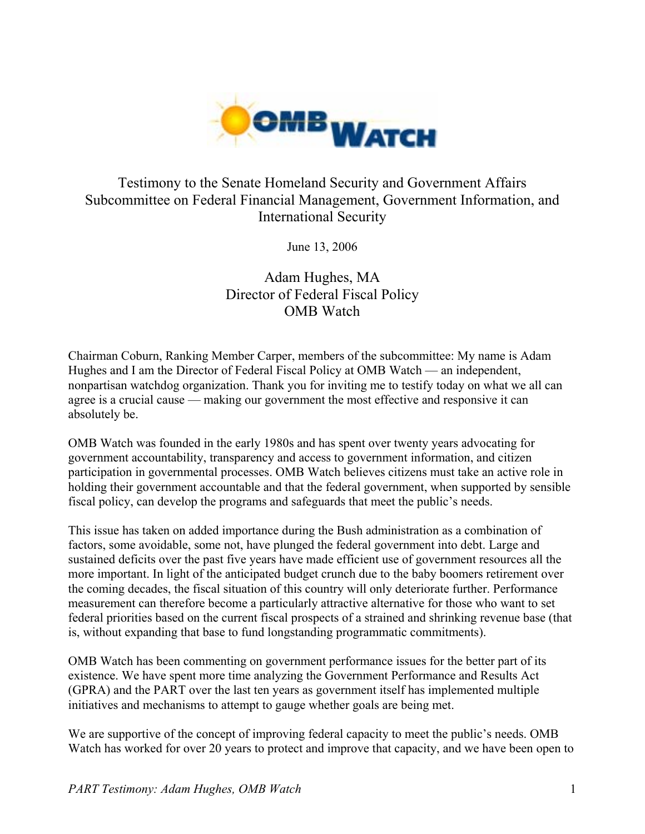

# Testimony to the Senate Homeland Security and Government Affairs Subcommittee on Federal Financial Management, Government Information, and International Security

June 13, 2006

# Adam Hughes, MA Director of Federal Fiscal Policy OMB Watch

Chairman Coburn, Ranking Member Carper, members of the subcommittee: My name is Adam Hughes and I am the Director of Federal Fiscal Policy at OMB Watch — an independent, nonpartisan watchdog organization. Thank you for inviting me to testify today on what we all can agree is a crucial cause — making our government the most effective and responsive it can absolutely be.

OMB Watch was founded in the early 1980s and has spent over twenty years advocating for government accountability, transparency and access to government information, and citizen participation in governmental processes. OMB Watch believes citizens must take an active role in holding their government accountable and that the federal government, when supported by sensible fiscal policy, can develop the programs and safeguards that meet the public's needs.

This issue has taken on added importance during the Bush administration as a combination of factors, some avoidable, some not, have plunged the federal government into debt. Large and sustained deficits over the past five years have made efficient use of government resources all the more important. In light of the anticipated budget crunch due to the baby boomers retirement over the coming decades, the fiscal situation of this country will only deteriorate further. Performance measurement can therefore become a particularly attractive alternative for those who want to set federal priorities based on the current fiscal prospects of a strained and shrinking revenue base (that is, without expanding that base to fund longstanding programmatic commitments).

OMB Watch has been commenting on government performance issues for the better part of its existence. We have spent more time analyzing the Government Performance and Results Act (GPRA) and the PART over the last ten years as government itself has implemented multiple initiatives and mechanisms to attempt to gauge whether goals are being met.

We are supportive of the concept of improving federal capacity to meet the public's needs. OMB Watch has worked for over 20 years to protect and improve that capacity, and we have been open to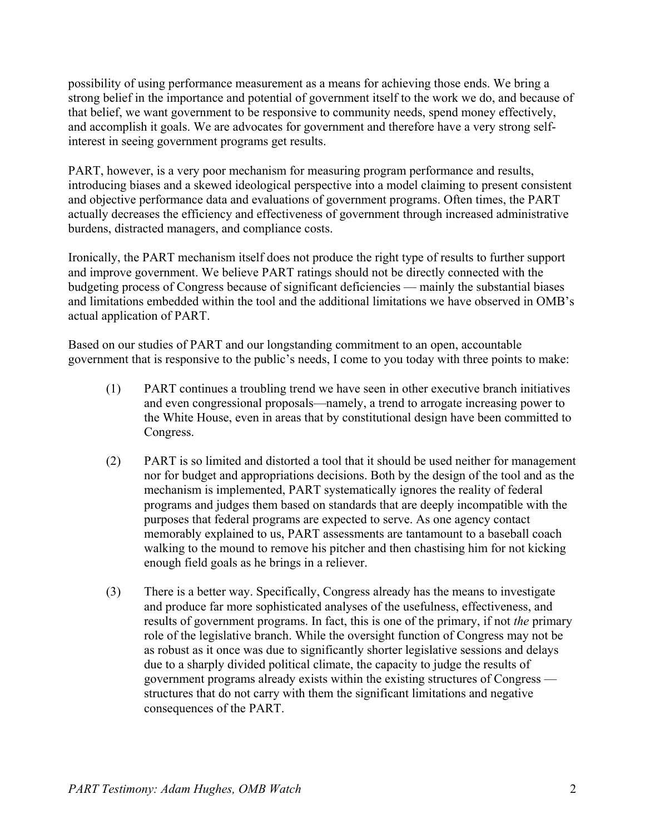possibility of using performance measurement as a means for achieving those ends. We bring a strong belief in the importance and potential of government itself to the work we do, and because of that belief, we want government to be responsive to community needs, spend money effectively, and accomplish it goals. We are advocates for government and therefore have a very strong selfinterest in seeing government programs get results.

PART, however, is a very poor mechanism for measuring program performance and results, introducing biases and a skewed ideological perspective into a model claiming to present consistent and objective performance data and evaluations of government programs. Often times, the PART actually decreases the efficiency and effectiveness of government through increased administrative burdens, distracted managers, and compliance costs.

Ironically, the PART mechanism itself does not produce the right type of results to further support and improve government. We believe PART ratings should not be directly connected with the budgeting process of Congress because of significant deficiencies — mainly the substantial biases and limitations embedded within the tool and the additional limitations we have observed in OMB's actual application of PART.

Based on our studies of PART and our longstanding commitment to an open, accountable government that is responsive to the public's needs, I come to you today with three points to make:

- (1) PART continues a troubling trend we have seen in other executive branch initiatives and even congressional proposals—namely, a trend to arrogate increasing power to the White House, even in areas that by constitutional design have been committed to Congress.
- (2) PART is so limited and distorted a tool that it should be used neither for management nor for budget and appropriations decisions. Both by the design of the tool and as the mechanism is implemented, PART systematically ignores the reality of federal programs and judges them based on standards that are deeply incompatible with the purposes that federal programs are expected to serve. As one agency contact memorably explained to us, PART assessments are tantamount to a baseball coach walking to the mound to remove his pitcher and then chastising him for not kicking enough field goals as he brings in a reliever.
- (3) There is a better way. Specifically, Congress already has the means to investigate and produce far more sophisticated analyses of the usefulness, effectiveness, and results of government programs. In fact, this is one of the primary, if not *the* primary role of the legislative branch. While the oversight function of Congress may not be as robust as it once was due to significantly shorter legislative sessions and delays due to a sharply divided political climate, the capacity to judge the results of government programs already exists within the existing structures of Congress structures that do not carry with them the significant limitations and negative consequences of the PART.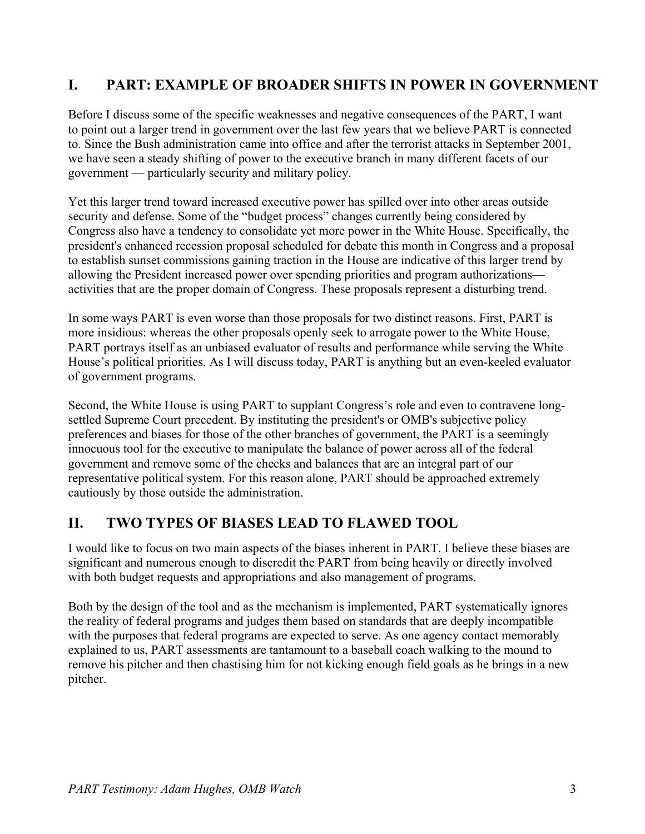## **I. PART: EXAMPLE OF BROADER SHIFTS IN POWER IN GOVERNMENT**

Before I discuss some of the specific weaknesses and negative consequences of the PART, I want to point out a larger trend in government over the last few years that we believe PART is connected to. Since the Bush administration came into office and after the terrorist attacks in September 2001, we have seen a steady shifting of power to the executive branch in many different facets of our government — particularly security and military policy.

Yet this larger trend toward increased executive power has spilled over into other areas outside security and defense. Some of the "budget process" changes currently being considered by Congress also have a tendency to consolidate yet more power in the White House. Specifically, the president's enhanced recession proposal scheduled for debate this month in Congress and a proposal to establish sunset commissions gaining traction in the House are indicative of this larger trend by allowing the President increased power over spending priorities and program authorizations activities that are the proper domain of Congress. These proposals represent a disturbing trend.

In some ways PART is even worse than those proposals for two distinct reasons. First, PART is more insidious: whereas the other proposals openly seek to arrogate power to the White House, PART portrays itself as an unbiased evaluator of results and performance while serving the White House's political priorities. As I will discuss today, PART is anything but an even-keeled evaluator of government programs.

Second, the White House is using PART to supplant Congress's role and even to contravene longsettled Supreme Court precedent. By instituting the president's or OMB's subjective policy preferences and biases for those of the other branches of government, the PART is a seemingly innocuous tool for the executive to manipulate the balance of power across all of the federal government and remove some of the checks and balances that are an integral part of our representative political system. For this reason alone, PART should be approached extremely cautiously by those outside the administration.

### **II. TWO TYPES OF BIASES LEAD TO FLAWED TOOL**

I would like to focus on two main aspects of the biases inherent in PART. I believe these biases are significant and numerous enough to discredit the PART from being heavily or directly involved with both budget requests and appropriations and also management of programs.

Both by the design of the tool and as the mechanism is implemented, PART systematically ignores the reality of federal programs and judges them based on standards that are deeply incompatible with the purposes that federal programs are expected to serve. As one agency contact memorably explained to us, PART assessments are tantamount to a baseball coach walking to the mound to remove his pitcher and then chastising him for not kicking enough field goals as he brings in a new pitcher.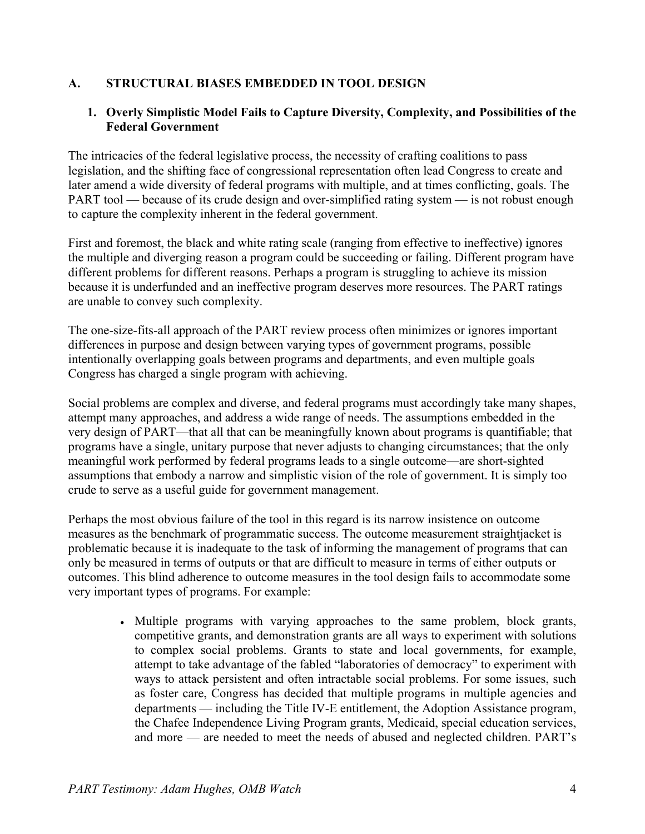#### **A. STRUCTURAL BIASES EMBEDDED IN TOOL DESIGN**

#### **1. Overly Simplistic Model Fails to Capture Diversity, Complexity, and Possibilities of the Federal Government**

The intricacies of the federal legislative process, the necessity of crafting coalitions to pass legislation, and the shifting face of congressional representation often lead Congress to create and later amend a wide diversity of federal programs with multiple, and at times conflicting, goals. The PART tool — because of its crude design and over-simplified rating system — is not robust enough to capture the complexity inherent in the federal government.

First and foremost, the black and white rating scale (ranging from effective to ineffective) ignores the multiple and diverging reason a program could be succeeding or failing. Different program have different problems for different reasons. Perhaps a program is struggling to achieve its mission because it is underfunded and an ineffective program deserves more resources. The PART ratings are unable to convey such complexity.

The one-size-fits-all approach of the PART review process often minimizes or ignores important differences in purpose and design between varying types of government programs, possible intentionally overlapping goals between programs and departments, and even multiple goals Congress has charged a single program with achieving.

Social problems are complex and diverse, and federal programs must accordingly take many shapes, attempt many approaches, and address a wide range of needs. The assumptions embedded in the very design of PART—that all that can be meaningfully known about programs is quantifiable; that programs have a single, unitary purpose that never adjusts to changing circumstances; that the only meaningful work performed by federal programs leads to a single outcome—are short-sighted assumptions that embody a narrow and simplistic vision of the role of government. It is simply too crude to serve as a useful guide for government management.

Perhaps the most obvious failure of the tool in this regard is its narrow insistence on outcome measures as the benchmark of programmatic success. The outcome measurement straightjacket is problematic because it is inadequate to the task of informing the management of programs that can only be measured in terms of outputs or that are difficult to measure in terms of either outputs or outcomes. This blind adherence to outcome measures in the tool design fails to accommodate some very important types of programs. For example:

> • Multiple programs with varying approaches to the same problem, block grants, competitive grants, and demonstration grants are all ways to experiment with solutions to complex social problems. Grants to state and local governments, for example, attempt to take advantage of the fabled "laboratories of democracy" to experiment with ways to attack persistent and often intractable social problems. For some issues, such as foster care, Congress has decided that multiple programs in multiple agencies and departments — including the Title IV-E entitlement, the Adoption Assistance program, the Chafee Independence Living Program grants, Medicaid, special education services, and more — are needed to meet the needs of abused and neglected children. PART's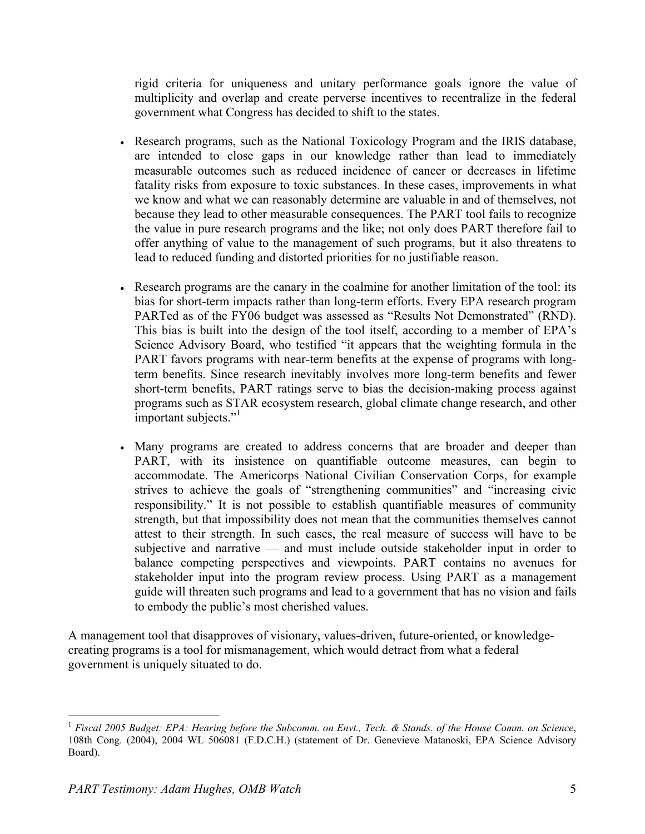rigid criteria for uniqueness and unitary performance goals ignore the value of multiplicity and overlap and create perverse incentives to recentralize in the federal government what Congress has decided to shift to the states.

- Research programs, such as the National Toxicology Program and the IRIS database, are intended to close gaps in our knowledge rather than lead to immediately measurable outcomes such as reduced incidence of cancer or decreases in lifetime fatality risks from exposure to toxic substances. In these cases, improvements in what we know and what we can reasonably determine are valuable in and of themselves, not because they lead to other measurable consequences. The PART tool fails to recognize the value in pure research programs and the like; not only does PART therefore fail to offer anything of value to the management of such programs, but it also threatens to lead to reduced funding and distorted priorities for no justifiable reason.
- Research programs are the canary in the coalmine for another limitation of the tool: its bias for short-term impacts rather than long-term efforts. Every EPA research program PARTed as of the FY06 budget was assessed as "Results Not Demonstrated" (RND). This bias is built into the design of the tool itself, according to a member of EPA's Science Advisory Board, who testified "it appears that the weighting formula in the PART favors programs with near-term benefits at the expense of programs with longterm benefits. Since research inevitably involves more long-term benefits and fewer short-term benefits, PART ratings serve to bias the decision-making process against programs such as STAR ecosystem research, global climate change research, and other important subjects."
- Many programs are created to address concerns that are broader and deeper than PART, with its insistence on quantifiable outcome measures, can begin to accommodate. The Americorps National Civilian Conservation Corps, for example strives to achieve the goals of "strengthening communities" and "increasing civic responsibility." It is not possible to establish quantifiable measures of community strength, but that impossibility does not mean that the communities themselves cannot attest to their strength. In such cases, the real measure of success will have to be subjective and narrative — and must include outside stakeholder input in order to balance competing perspectives and viewpoints. PART contains no avenues for stakeholder input into the program review process. Using PART as a management guide will threaten such programs and lead to a government that has no vision and fails to embody the public's most cherished values.

A management tool that disapproves of visionary, values-driven, future-oriented, or knowledgecreating programs is a tool for mismanagement, which would detract from what a federal government is uniquely situated to do.

 $\overline{a}$ 

<sup>1</sup> *Fiscal 2005 Budget: EPA: Hearing before the Subcomm. on Envt., Tech. & Stands. of the House Comm. on Science*, 108th Cong. (2004), 2004 WL 506081 (F.D.C.H.) (statement of Dr. Genevieve Matanoski, EPA Science Advisory Board).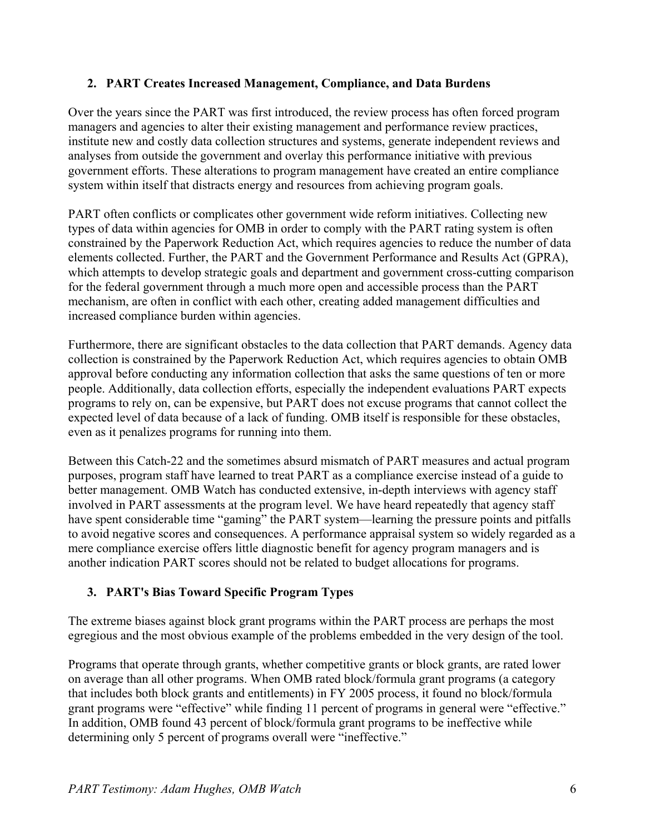#### **2. PART Creates Increased Management, Compliance, and Data Burdens**

Over the years since the PART was first introduced, the review process has often forced program managers and agencies to alter their existing management and performance review practices, institute new and costly data collection structures and systems, generate independent reviews and analyses from outside the government and overlay this performance initiative with previous government efforts. These alterations to program management have created an entire compliance system within itself that distracts energy and resources from achieving program goals.

PART often conflicts or complicates other government wide reform initiatives. Collecting new types of data within agencies for OMB in order to comply with the PART rating system is often constrained by the Paperwork Reduction Act, which requires agencies to reduce the number of data elements collected. Further, the PART and the Government Performance and Results Act (GPRA), which attempts to develop strategic goals and department and government cross-cutting comparison for the federal government through a much more open and accessible process than the PART mechanism, are often in conflict with each other, creating added management difficulties and increased compliance burden within agencies.

Furthermore, there are significant obstacles to the data collection that PART demands. Agency data collection is constrained by the Paperwork Reduction Act, which requires agencies to obtain OMB approval before conducting any information collection that asks the same questions of ten or more people. Additionally, data collection efforts, especially the independent evaluations PART expects programs to rely on, can be expensive, but PART does not excuse programs that cannot collect the expected level of data because of a lack of funding. OMB itself is responsible for these obstacles, even as it penalizes programs for running into them.

Between this Catch-22 and the sometimes absurd mismatch of PART measures and actual program purposes, program staff have learned to treat PART as a compliance exercise instead of a guide to better management. OMB Watch has conducted extensive, in-depth interviews with agency staff involved in PART assessments at the program level. We have heard repeatedly that agency staff have spent considerable time "gaming" the PART system—learning the pressure points and pitfalls to avoid negative scores and consequences. A performance appraisal system so widely regarded as a mere compliance exercise offers little diagnostic benefit for agency program managers and is another indication PART scores should not be related to budget allocations for programs.

### **3. PART's Bias Toward Specific Program Types**

The extreme biases against block grant programs within the PART process are perhaps the most egregious and the most obvious example of the problems embedded in the very design of the tool.

Programs that operate through grants, whether competitive grants or block grants, are rated lower on average than all other programs. When OMB rated block/formula grant programs (a category that includes both block grants and entitlements) in FY 2005 process, it found no block/formula grant programs were "effective" while finding 11 percent of programs in general were "effective." In addition, OMB found 43 percent of block/formula grant programs to be ineffective while determining only 5 percent of programs overall were "ineffective."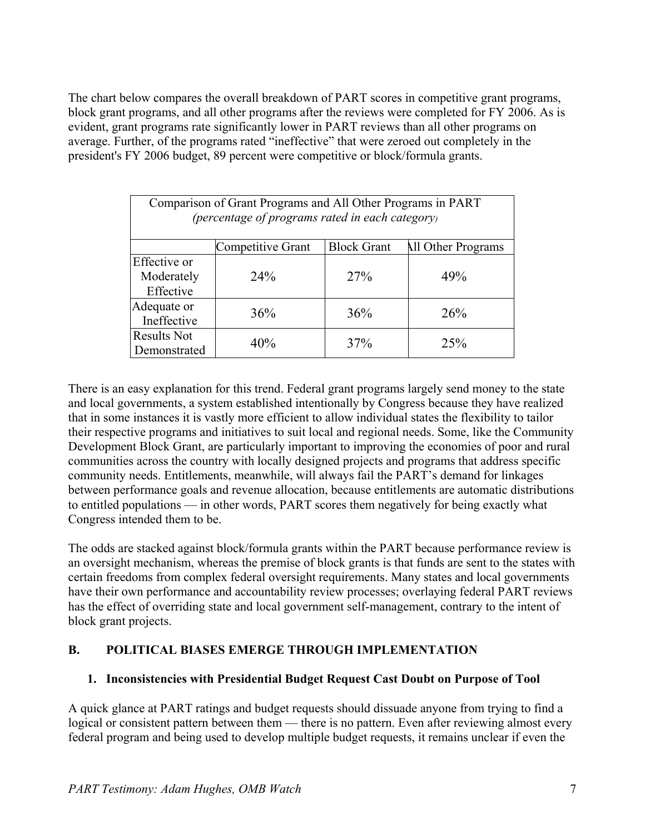The chart below compares the overall breakdown of PART scores in competitive grant programs, block grant programs, and all other programs after the reviews were completed for FY 2006. As is evident, grant programs rate significantly lower in PART reviews than all other programs on average. Further, of the programs rated "ineffective" that were zeroed out completely in the president's FY 2006 budget, 89 percent were competitive or block/formula grants.

| Comparison of Grant Programs and All Other Programs in PART<br>(percentage of programs rated in each category) |                          |                    |                    |
|----------------------------------------------------------------------------------------------------------------|--------------------------|--------------------|--------------------|
|                                                                                                                | <b>Competitive Grant</b> | <b>Block Grant</b> | All Other Programs |
| Effective or<br>Moderately<br>Effective                                                                        | 24%                      | 27%                | 49%                |
| Adequate or<br>Ineffective                                                                                     | 36%                      | 36%                | 26%                |
| <b>Results Not</b><br>Demonstrated                                                                             | 40%                      | 37%                | 25%                |

There is an easy explanation for this trend. Federal grant programs largely send money to the state and local governments, a system established intentionally by Congress because they have realized that in some instances it is vastly more efficient to allow individual states the flexibility to tailor their respective programs and initiatives to suit local and regional needs. Some, like the Community Development Block Grant, are particularly important to improving the economies of poor and rural communities across the country with locally designed projects and programs that address specific community needs. Entitlements, meanwhile, will always fail the PART's demand for linkages between performance goals and revenue allocation, because entitlements are automatic distributions to entitled populations — in other words, PART scores them negatively for being exactly what Congress intended them to be.

The odds are stacked against block/formula grants within the PART because performance review is an oversight mechanism, whereas the premise of block grants is that funds are sent to the states with certain freedoms from complex federal oversight requirements. Many states and local governments have their own performance and accountability review processes; overlaying federal PART reviews has the effect of overriding state and local government self-management, contrary to the intent of block grant projects.

### **B. POLITICAL BIASES EMERGE THROUGH IMPLEMENTATION**

### **1. Inconsistencies with Presidential Budget Request Cast Doubt on Purpose of Tool**

A quick glance at PART ratings and budget requests should dissuade anyone from trying to find a logical or consistent pattern between them — there is no pattern. Even after reviewing almost every federal program and being used to develop multiple budget requests, it remains unclear if even the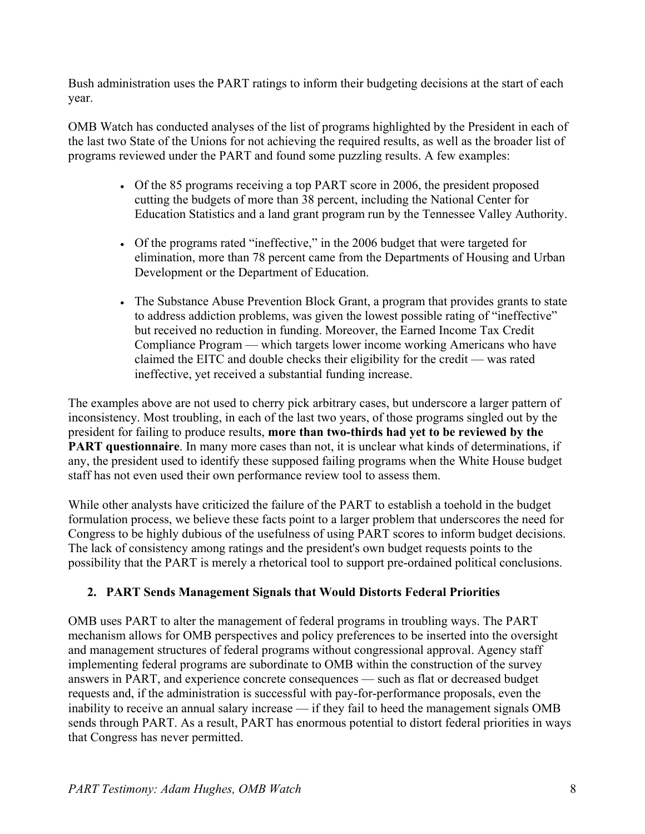Bush administration uses the PART ratings to inform their budgeting decisions at the start of each year.

OMB Watch has conducted analyses of the list of programs highlighted by the President in each of the last two State of the Unions for not achieving the required results, as well as the broader list of programs reviewed under the PART and found some puzzling results. A few examples:

- Of the 85 programs receiving a top PART score in 2006, the president proposed cutting the budgets of more than 38 percent, including the National Center for Education Statistics and a land grant program run by the Tennessee Valley Authority.
- Of the programs rated "ineffective," in the 2006 budget that were targeted for elimination, more than 78 percent came from the Departments of Housing and Urban Development or the Department of Education.
- The Substance Abuse Prevention Block Grant, a program that provides grants to state to address addiction problems, was given the lowest possible rating of "ineffective" but received no reduction in funding. Moreover, the Earned Income Tax Credit Compliance Program — which targets lower income working Americans who have claimed the EITC and double checks their eligibility for the credit — was rated ineffective, yet received a substantial funding increase.

The examples above are not used to cherry pick arbitrary cases, but underscore a larger pattern of inconsistency. Most troubling, in each of the last two years, of those programs singled out by the president for failing to produce results, **more than two-thirds had yet to be reviewed by the PART questionnaire**. In many more cases than not, it is unclear what kinds of determinations, if any, the president used to identify these supposed failing programs when the White House budget staff has not even used their own performance review tool to assess them.

While other analysts have criticized the failure of the PART to establish a toehold in the budget formulation process, we believe these facts point to a larger problem that underscores the need for Congress to be highly dubious of the usefulness of using PART scores to inform budget decisions. The lack of consistency among ratings and the president's own budget requests points to the possibility that the PART is merely a rhetorical tool to support pre-ordained political conclusions.

### **2. PART Sends Management Signals that Would Distorts Federal Priorities**

OMB uses PART to alter the management of federal programs in troubling ways. The PART mechanism allows for OMB perspectives and policy preferences to be inserted into the oversight and management structures of federal programs without congressional approval. Agency staff implementing federal programs are subordinate to OMB within the construction of the survey answers in PART, and experience concrete consequences — such as flat or decreased budget requests and, if the administration is successful with pay-for-performance proposals, even the inability to receive an annual salary increase — if they fail to heed the management signals OMB sends through PART. As a result, PART has enormous potential to distort federal priorities in ways that Congress has never permitted.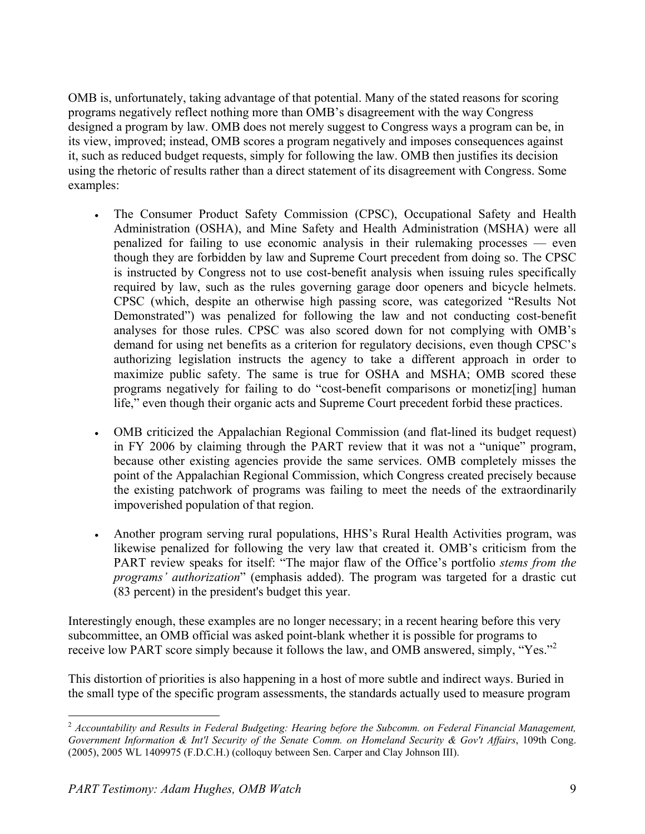OMB is, unfortunately, taking advantage of that potential. Many of the stated reasons for scoring programs negatively reflect nothing more than OMB's disagreement with the way Congress designed a program by law. OMB does not merely suggest to Congress ways a program can be, in its view, improved; instead, OMB scores a program negatively and imposes consequences against it, such as reduced budget requests, simply for following the law. OMB then justifies its decision using the rhetoric of results rather than a direct statement of its disagreement with Congress. Some examples:

- The Consumer Product Safety Commission (CPSC), Occupational Safety and Health Administration (OSHA), and Mine Safety and Health Administration (MSHA) were all penalized for failing to use economic analysis in their rulemaking processes — even though they are forbidden by law and Supreme Court precedent from doing so. The CPSC is instructed by Congress not to use cost-benefit analysis when issuing rules specifically required by law, such as the rules governing garage door openers and bicycle helmets. CPSC (which, despite an otherwise high passing score, was categorized "Results Not Demonstrated") was penalized for following the law and not conducting cost-benefit analyses for those rules. CPSC was also scored down for not complying with OMB's demand for using net benefits as a criterion for regulatory decisions, even though CPSC's authorizing legislation instructs the agency to take a different approach in order to maximize public safety. The same is true for OSHA and MSHA; OMB scored these programs negatively for failing to do "cost-benefit comparisons or monetiz[ing] human life," even though their organic acts and Supreme Court precedent forbid these practices.
- OMB criticized the Appalachian Regional Commission (and flat-lined its budget request) in FY 2006 by claiming through the PART review that it was not a "unique" program, because other existing agencies provide the same services. OMB completely misses the point of the Appalachian Regional Commission, which Congress created precisely because the existing patchwork of programs was failing to meet the needs of the extraordinarily impoverished population of that region.
- Another program serving rural populations, HHS's Rural Health Activities program, was likewise penalized for following the very law that created it. OMB's criticism from the PART review speaks for itself: "The major flaw of the Office's portfolio *stems from the programs' authorization*" (emphasis added). The program was targeted for a drastic cut (83 percent) in the president's budget this year.

Interestingly enough, these examples are no longer necessary; in a recent hearing before this very subcommittee, an OMB official was asked point-blank whether it is possible for programs to receive low PART score simply because it follows the law, and OMB answered, simply, "Yes."2

This distortion of priorities is also happening in a host of more subtle and indirect ways. Buried in the small type of the specific program assessments, the standards actually used to measure program

 $\overline{a}$ <sup>2</sup> *Accountability and Results in Federal Budgeting: Hearing before the Subcomm. on Federal Financial Management, Government Information & Int'l Security of the Senate Comm. on Homeland Security & Gov't Affairs*, 109th Cong. (2005), 2005 WL 1409975 (F.D.C.H.) (colloquy between Sen. Carper and Clay Johnson III).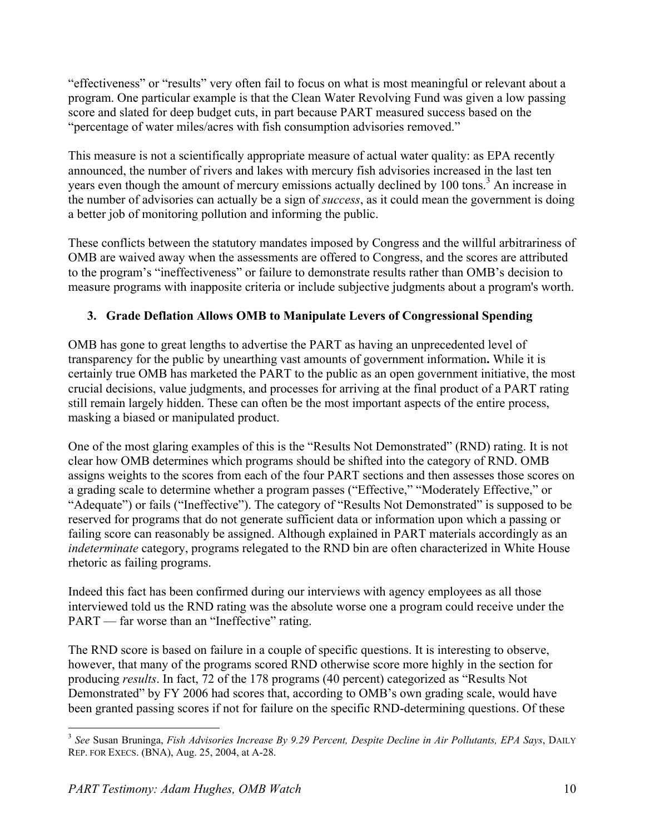"effectiveness" or "results" very often fail to focus on what is most meaningful or relevant about a program. One particular example is that the Clean Water Revolving Fund was given a low passing score and slated for deep budget cuts, in part because PART measured success based on the "percentage of water miles/acres with fish consumption advisories removed."

This measure is not a scientifically appropriate measure of actual water quality: as EPA recently announced, the number of rivers and lakes with mercury fish advisories increased in the last ten years even though the amount of mercury emissions actually declined by 100 tons.<sup>3</sup> An increase in the number of advisories can actually be a sign of *success*, as it could mean the government is doing a better job of monitoring pollution and informing the public.

These conflicts between the statutory mandates imposed by Congress and the willful arbitrariness of OMB are waived away when the assessments are offered to Congress, and the scores are attributed to the program's "ineffectiveness" or failure to demonstrate results rather than OMB's decision to measure programs with inapposite criteria or include subjective judgments about a program's worth.

### **3. Grade Deflation Allows OMB to Manipulate Levers of Congressional Spending**

OMB has gone to great lengths to advertise the PART as having an unprecedented level of transparency for the public by unearthing vast amounts of government information**.** While it is certainly true OMB has marketed the PART to the public as an open government initiative, the most crucial decisions, value judgments, and processes for arriving at the final product of a PART rating still remain largely hidden. These can often be the most important aspects of the entire process, masking a biased or manipulated product.

One of the most glaring examples of this is the "Results Not Demonstrated" (RND) rating. It is not clear how OMB determines which programs should be shifted into the category of RND. OMB assigns weights to the scores from each of the four PART sections and then assesses those scores on a grading scale to determine whether a program passes ("Effective," "Moderately Effective," or "Adequate") or fails ("Ineffective"). The category of "Results Not Demonstrated" is supposed to be reserved for programs that do not generate sufficient data or information upon which a passing or failing score can reasonably be assigned. Although explained in PART materials accordingly as an *indeterminate* category, programs relegated to the RND bin are often characterized in White House rhetoric as failing programs.

Indeed this fact has been confirmed during our interviews with agency employees as all those interviewed told us the RND rating was the absolute worse one a program could receive under the PART — far worse than an "Ineffective" rating.

The RND score is based on failure in a couple of specific questions. It is interesting to observe, however, that many of the programs scored RND otherwise score more highly in the section for producing *results*. In fact, 72 of the 178 programs (40 percent) categorized as "Results Not Demonstrated" by FY 2006 had scores that, according to OMB's own grading scale, would have been granted passing scores if not for failure on the specific RND-determining questions. Of these

 $\overline{a}$ 

<sup>3</sup> *See* Susan Bruninga, *Fish Advisories Increase By 9.29 Percent, Despite Decline in Air Pollutants, EPA Says*, DAILY REP. FOR EXECS. (BNA), Aug. 25, 2004, at A-28.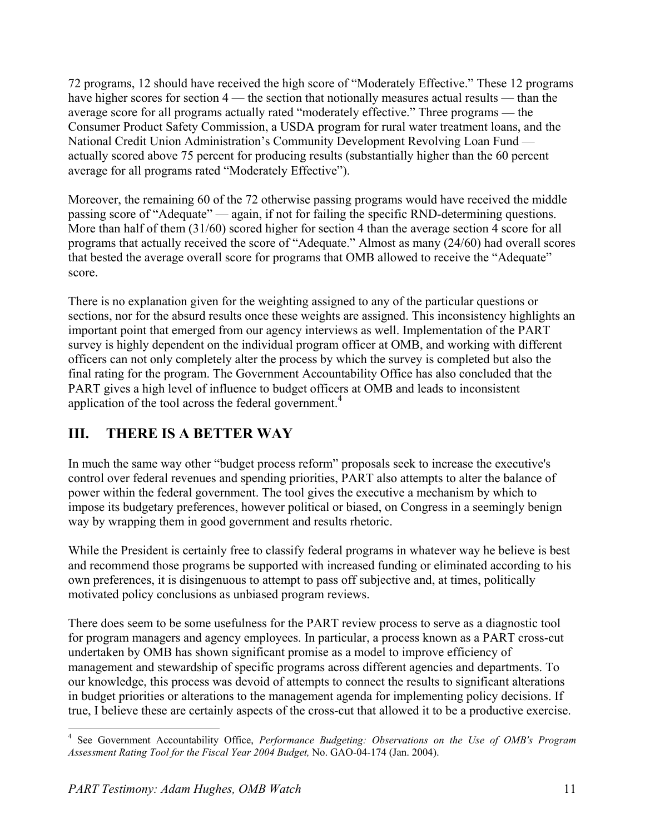72 programs, 12 should have received the high score of "Moderately Effective." These 12 programs have higher scores for section 4 — the section that notionally measures actual results — than the average score for all programs actually rated "moderately effective." Three programs **—** the Consumer Product Safety Commission, a USDA program for rural water treatment loans, and the National Credit Union Administration's Community Development Revolving Loan Fund actually scored above 75 percent for producing results (substantially higher than the 60 percent average for all programs rated "Moderately Effective").

Moreover, the remaining 60 of the 72 otherwise passing programs would have received the middle passing score of "Adequate" — again, if not for failing the specific RND-determining questions. More than half of them (31/60) scored higher for section 4 than the average section 4 score for all programs that actually received the score of "Adequate." Almost as many (24/60) had overall scores that bested the average overall score for programs that OMB allowed to receive the "Adequate" score.

There is no explanation given for the weighting assigned to any of the particular questions or sections, nor for the absurd results once these weights are assigned. This inconsistency highlights an important point that emerged from our agency interviews as well. Implementation of the PART survey is highly dependent on the individual program officer at OMB, and working with different officers can not only completely alter the process by which the survey is completed but also the final rating for the program. The Government Accountability Office has also concluded that the PART gives a high level of influence to budget officers at OMB and leads to inconsistent application of the tool across the federal government.<sup>4</sup>

# **III. THERE IS A BETTER WAY**

In much the same way other "budget process reform" proposals seek to increase the executive's control over federal revenues and spending priorities, PART also attempts to alter the balance of power within the federal government. The tool gives the executive a mechanism by which to impose its budgetary preferences, however political or biased, on Congress in a seemingly benign way by wrapping them in good government and results rhetoric.

While the President is certainly free to classify federal programs in whatever way he believe is best and recommend those programs be supported with increased funding or eliminated according to his own preferences, it is disingenuous to attempt to pass off subjective and, at times, politically motivated policy conclusions as unbiased program reviews.

There does seem to be some usefulness for the PART review process to serve as a diagnostic tool for program managers and agency employees. In particular, a process known as a PART cross-cut undertaken by OMB has shown significant promise as a model to improve efficiency of management and stewardship of specific programs across different agencies and departments. To our knowledge, this process was devoid of attempts to connect the results to significant alterations in budget priorities or alterations to the management agenda for implementing policy decisions. If true, I believe these are certainly aspects of the cross-cut that allowed it to be a productive exercise.

 4 See Government Accountability Office, *Performance Budgeting: Observations on the Use of OMB's Program Assessment Rating Tool for the Fiscal Year 2004 Budget,* No. GAO-04-174 (Jan. 2004).